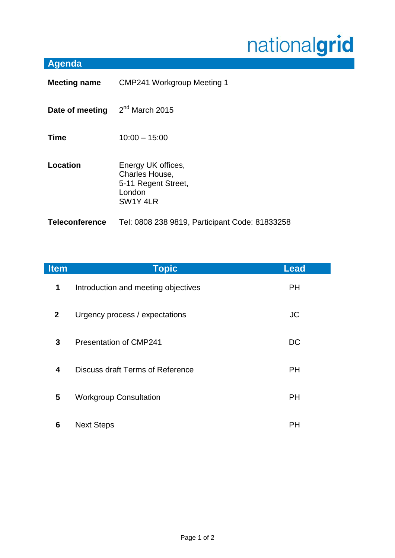## nationalgrid

## **Agenda**

| <b>Meeting name</b>   | <b>CMP241 Workgroup Meeting 1</b>                                                 |  |
|-----------------------|-----------------------------------------------------------------------------------|--|
| Date of meeting       | $2nd$ March 2015                                                                  |  |
| <b>Time</b>           | $10:00 - 15:00$                                                                   |  |
| Location              | Energy UK offices,<br>Charles House,<br>5-11 Regent Street,<br>London<br>SW1Y 4LR |  |
| <b>Teleconference</b> | Tel: 0808 238 9819, Participant Code: 81833258                                    |  |

| <b>Item</b>    | <b>Topic</b>                        | <b>Lead</b> |
|----------------|-------------------------------------|-------------|
| $\mathbf 1$    | Introduction and meeting objectives | <b>PH</b>   |
| 2 <sup>1</sup> | Urgency process / expectations      | <b>JC</b>   |
| 3              | <b>Presentation of CMP241</b>       | <b>DC</b>   |
| 4              | Discuss draft Terms of Reference    | <b>PH</b>   |
| 5              | <b>Workgroup Consultation</b>       | PH          |
| 6              | <b>Next Steps</b>                   | PН          |